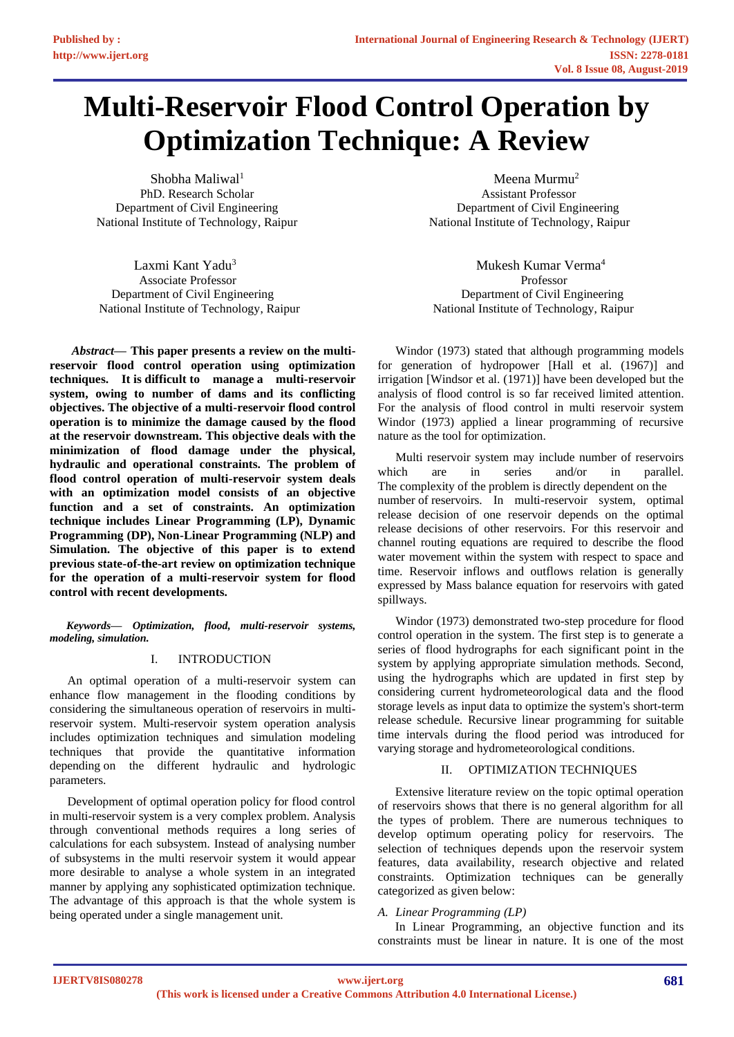# **Multi-Reservoir Flood Control Operation by Optimization Technique: A Review**

Shobha Maliwal<sup>1</sup> PhD. Research Scholar Department of Civil Engineering National Institute of Technology, Raipur

Laxmi Kant Yadu<sup>3</sup> Associate Professor **Professor** Professor Department of Civil Engineering Department of Civil Engineering National Institute of Technology, Raipur National Institute of Technology, Raipur

*Abstract***— This paper presents a review on the multireservoir flood control operation using optimization techniques. It is difficult to manage a multi-reservoir system, owing to number of dams and its conflicting objectives. The objective of a multi-reservoir flood control operation is to minimize the damage caused by the flood at the reservoir downstream. This objective deals with the minimization of flood damage under the physical, hydraulic and operational constraints. The problem of flood control operation of multi-reservoir system deals with an optimization model consists of an objective function and a set of constraints. An optimization technique includes Linear Programming (LP), Dynamic Programming (DP), Non-Linear Programming (NLP) and Simulation. The objective of this paper is to extend previous state-of-the-art review on optimization technique for the operation of a multi-reservoir system for flood control with recent developments.**

*Keywords— Optimization, flood, multi-reservoir systems, modeling, simulation.*

# I. INTRODUCTION

An optimal operation of a multi-reservoir system can enhance flow management in the flooding conditions by considering the simultaneous operation of reservoirs in multireservoir system. Multi-reservoir system operation analysis includes optimization techniques and simulation modeling techniques that provide the quantitative information depending on the different hydraulic and hydrologic parameters.

Development of optimal operation policy for flood control in multi-reservoir system is a very complex problem. Analysis through conventional methods requires a long series of calculations for each subsystem. Instead of analysing number of subsystems in the multi reservoir system it would appear more desirable to analyse a whole system in an integrated manner by applying any sophisticated optimization technique. The advantage of this approach is that the whole system is being operated under a single management unit.

Meena Murmu<sup>2</sup> Assistant Professor Department of Civil Engineering National Institute of Technology, Raipur

Mukesh Kumar Verma<sup>4</sup>

Windor (1973) stated that although programming models for generation of hydropower [Hall et al. (1967)] and irrigation [Windsor et al. (1971)] have been developed but the analysis of flood control is so far received limited attention. For the analysis of flood control in multi reservoir system Windor (1973) applied a linear programming of recursive nature as the tool for optimization.

Multi reservoir system may include number of reservoirs which are in series and/or in parallel. The complexity of the problem is directly dependent on the number of reservoirs. In multi-reservoir system, optimal release decision of one reservoir depends on the optimal release decisions of other reservoirs. For this reservoir and channel routing equations are required to describe the flood water movement within the system with respect to space and time. Reservoir inflows and outflows relation is generally expressed by Mass balance equation for reservoirs with gated spillways.

Windor (1973) demonstrated two-step procedure for flood control operation in the system. The first step is to generate a series of flood hydrographs for each significant point in the system by applying appropriate simulation methods. Second, using the hydrographs which are updated in first step by considering current hydrometeorological data and the flood storage levels as input data to optimize the system's short-term release schedule. Recursive linear programming for suitable time intervals during the flood period was introduced for varying storage and hydrometeorological conditions.

# II. OPTIMIZATION TECHNIQUES

Extensive literature review on the topic optimal operation of reservoirs shows that there is no general algorithm for all the types of problem. There are numerous techniques to develop optimum operating policy for reservoirs. The selection of techniques depends upon the reservoir system features, data availability, research objective and related constraints. Optimization techniques can be generally categorized as given below:

# *A. Linear Programming (LP)*

In Linear Programming, an objective function and its constraints must be linear in nature. It is one of the most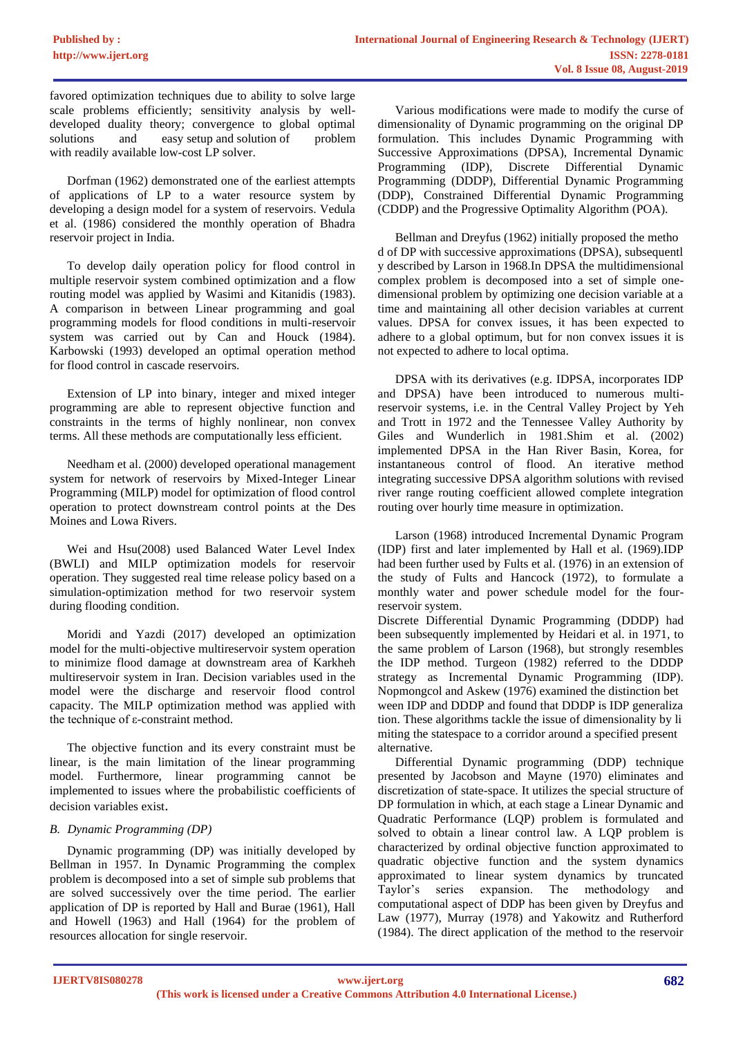favored optimization techniques due to ability to solve large scale problems efficiently; sensitivity analysis by welldeveloped duality theory; convergence to global optimal solutions and easy setup and solution of problem with readily available low-cost LP solver.

Dorfman (1962) demonstrated one of the earliest attempts of applications of LP to a water resource system by developing a design model for a system of reservoirs. Vedula et al. (1986) considered the monthly operation of Bhadra reservoir project in India.

To develop daily operation policy for flood control in multiple reservoir system combined optimization and a flow routing model was applied by Wasimi and Kitanidis (1983). A comparison in between Linear programming and goal programming models for flood conditions in multi-reservoir system was carried out by Can and Houck (1984). Karbowski (1993) developed an optimal operation method for flood control in cascade reservoirs.

Extension of LP into binary, integer and mixed integer programming are able to represent objective function and constraints in the terms of highly nonlinear, non convex terms. All these methods are computationally less efficient.

Needham et al. (2000) developed operational management system for network of reservoirs by Mixed-Integer Linear Programming (MILP) model for optimization of flood control operation to protect downstream control points at the Des Moines and Lowa Rivers.

Wei and Hsu(2008) used Balanced Water Level Index (BWLI) and MILP optimization models for reservoir operation. They suggested real time release policy based on a simulation-optimization method for two reservoir system during flooding condition.

Moridi and Yazdi (2017) developed an optimization model for the multi-objective multireservoir system operation to minimize flood damage at downstream area of Karkheh multireservoir system in Iran. Decision variables used in the model were the discharge and reservoir flood control capacity. The MILP optimization method was applied with the technique of ε-constraint method.

The objective function and its every constraint must be linear, is the main limitation of the linear programming model. Furthermore, linear programming cannot be implemented to issues where the probabilistic coefficients of decision variables exist.

# *B. Dynamic Programming (DP)*

Dynamic programming (DP) was initially developed by Bellman in 1957. In Dynamic Programming the complex problem is decomposed into a set of simple sub problems that are solved successively over the time period. The earlier application of DP is reported by Hall and Burae (1961), Hall and Howell (1963) and Hall (1964) for the problem of resources allocation for single reservoir.

Various modifications were made to modify the curse of dimensionality of Dynamic programming on the original DP formulation. This includes Dynamic Programming with Successive Approximations (DPSA), Incremental Dynamic Programming (IDP), Discrete Differential Dynamic Programming (DDDP), Differential Dynamic Programming (DDP), Constrained Differential Dynamic Programming (CDDP) and the Progressive Optimality Algorithm (POA).

Bellman and Dreyfus (1962) initially proposed the metho d of DP with successive approximations (DPSA), subsequentl y described by Larson in 1968.In DPSA the multidimensional complex problem is decomposed into a set of simple onedimensional problem by optimizing one decision variable at a time and maintaining all other decision variables at current values. DPSA for convex issues, it has been expected to adhere to a global optimum, but for non convex issues it is not expected to adhere to local optima.

DPSA with its derivatives (e.g. IDPSA, incorporates IDP and DPSA) have been introduced to numerous multireservoir systems, i.e. in the Central Valley Project by Yeh and Trott in 1972 and the Tennessee Valley Authority by Giles and Wunderlich in 1981.Shim et al. (2002) implemented DPSA in the Han River Basin, Korea, for instantaneous control of flood. An iterative method integrating successive DPSA algorithm solutions with revised river range routing coefficient allowed complete integration routing over hourly time measure in optimization.

Larson (1968) introduced Incremental Dynamic Program (IDP) first and later implemented by Hall et al. (1969).IDP had been further used by Fults et al. (1976) in an extension of the study of Fults and Hancock (1972), to formulate a monthly water and power schedule model for the fourreservoir system.

Discrete Differential Dynamic Programming (DDDP) had been subsequently implemented by Heidari et al. in 1971, to the same problem of Larson (1968), but strongly resembles the IDP method. Turgeon (1982) referred to the DDDP strategy as Incremental Dynamic Programming (IDP). Nopmongcol and Askew (1976) examined the distinction bet ween IDP and DDDP and found that DDDP is IDP generaliza tion. These algorithms tackle the issue of dimensionality by li miting the statespace to a corridor around a specified present alternative.

Differential Dynamic programming (DDP) technique presented by Jacobson and Mayne (1970) eliminates and discretization of state-space. It utilizes the special structure of DP formulation in which, at each stage a Linear Dynamic and Quadratic Performance (LQP) problem is formulated and solved to obtain a linear control law. A LQP problem is characterized by ordinal objective function approximated to quadratic objective function and the system dynamics approximated to linear system dynamics by truncated Taylor's series expansion. The methodology and computational aspect of DDP has been given by Dreyfus and Law (1977), Murray (1978) and Yakowitz and Rutherford (1984). The direct application of the method to the reservoir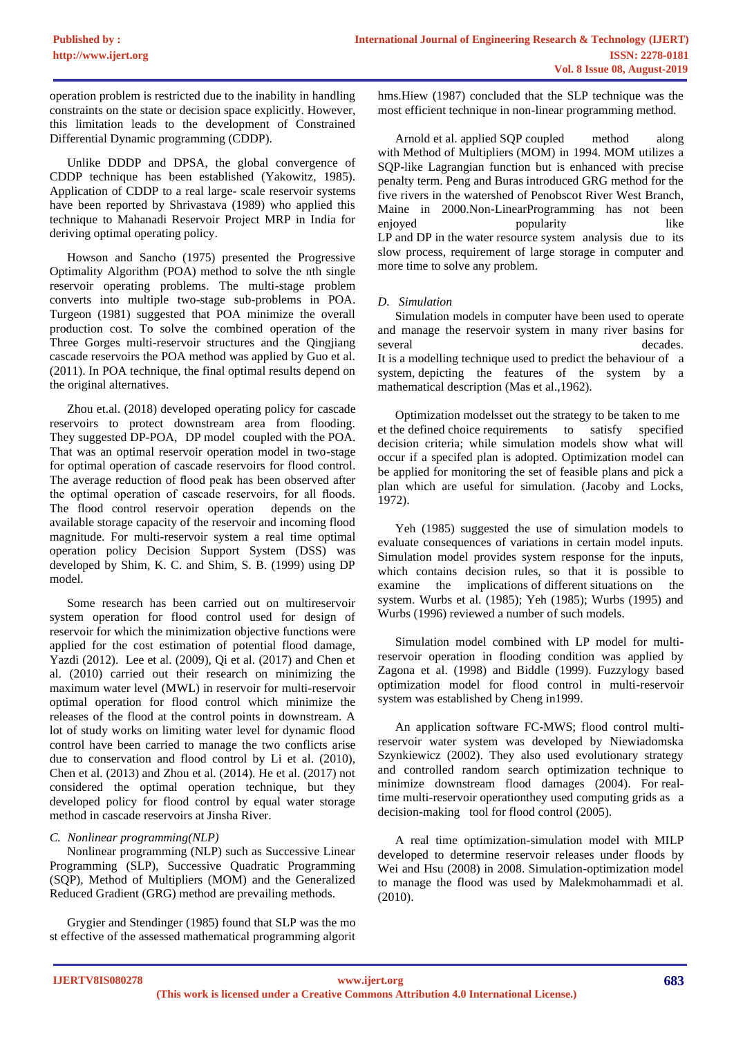operation problem is restricted due to the inability in handling constraints on the state or decision space explicitly. However, this limitation leads to the development of Constrained Differential Dynamic programming (CDDP).

Unlike DDDP and DPSA, the global convergence of CDDP technique has been established (Yakowitz, 1985). Application of CDDP to a real large- scale reservoir systems have been reported by Shrivastava (1989) who applied this technique to Mahanadi Reservoir Project MRP in India for deriving optimal operating policy.

Howson and Sancho (1975) presented the Progressive Optimality Algorithm (POA) method to solve the nth single reservoir operating problems. The multi-stage problem converts into multiple two-stage sub-problems in POA. Turgeon (1981) suggested that POA minimize the overall production cost. To solve the combined operation of the Three Gorges multi-reservoir structures and the Qingjiang cascade reservoirs the POA method was applied by Guo et al. (2011). In POA technique, the final optimal results depend on the original alternatives.

Zhou et.al. (2018) developed operating policy for cascade reservoirs to protect downstream area from flooding. They suggested DP-POA, DP model coupled with the POA. That was an optimal reservoir operation model in two-stage for optimal operation of cascade reservoirs for flood control. The average reduction of flood peak has been observed after the optimal operation of cascade reservoirs, for all floods. The flood control reservoir operation depends on the available storage capacity of the reservoir and incoming flood magnitude. For multi-reservoir system a real time optimal operation policy Decision Support System (DSS) was developed by Shim, K. C. and Shim, S. B. (1999) using DP model.

Some research has been carried out on multireservoir system operation for flood control used for design of reservoir for which the minimization objective functions were applied for the cost estimation of potential flood damage, Yazdi (2012). Lee et al. (2009), Qi et al. (2017) and Chen et al. (2010) carried out their research on minimizing the maximum water level (MWL) in reservoir for multi-reservoir optimal operation for flood control which minimize the releases of the flood at the control points in downstream. A lot of study works on limiting water level for dynamic flood control have been carried to manage the two conflicts arise due to conservation and flood control by Li et al. (2010), Chen et al. (2013) and Zhou et al. (2014). He et al. (2017) not considered the optimal operation technique, but they developed policy for flood control by equal water storage method in cascade reservoirs at Jinsha River.

# *C. Nonlinear programming(NLP)*

Nonlinear programming (NLP) such as Successive Linear Programming (SLP), Successive Quadratic Programming (SQP), Method of Multipliers (MOM) and the Generalized Reduced Gradient (GRG) method are prevailing methods.

Grygier and Stendinger (1985) found that SLP was the mo st effective of the assessed mathematical programming algorit hms.Hiew (1987) concluded that the SLP technique was the most efficient technique in non-linear programming method.

Arnold et al. applied SQP coupled method along with Method of Multipliers (MOM) in 1994. MOM utilizes a SQP-like Lagrangian function but is enhanced with precise penalty term. Peng and Buras introduced GRG method for the five rivers in the watershed of Penobscot River West Branch, Maine in 2000.Non-LinearProgramming has not been enjoyed popularity like LP and DP in the water resource system analysis due to its slow process, requirement of large storage in computer and more time to solve any problem.

# *D. Simulation*

Simulation models in computer have been used to operate and manage the reservoir system in many river basins for several decades. It is a modelling technique used to predict the behaviour of a system, depicting the features of the system by a mathematical description (Mas et al.,1962).

Optimization modelsset out the strategy to be taken to me et the defined choice requirements to satisfy specified decision criteria; while simulation models show what will occur if a specifed plan is adopted. Optimization model can be applied for monitoring the set of feasible plans and pick a plan which are useful for simulation. (Jacoby and Locks, 1972).

Yeh (1985) suggested the use of simulation models to evaluate consequences of variations in certain model inputs. Simulation model provides system response for the inputs, which contains decision rules, so that it is possible to examine the implications of different situations on the system. Wurbs et al. (1985); Yeh (1985); Wurbs (1995) and Wurbs (1996) reviewed a number of such models.

Simulation model combined with LP model for multireservoir operation in flooding condition was applied by Zagona et al. (1998) and Biddle (1999). Fuzzylogy based optimization model for flood control in multi-reservoir system was established by Cheng in1999.

An application software FC-MWS; flood control multireservoir water system was developed by Niewiadomska Szynkiewicz (2002). They also used evolutionary strategy and controlled random search optimization technique to minimize downstream flood damages (2004). For realtime multi-reservoir operationthey used computing grids as a decision-making tool for flood control (2005).

A real time optimization-simulation model with MILP developed to determine reservoir releases under floods by Wei and Hsu (2008) in 2008. Simulation-optimization model to manage the flood was used by Malekmohammadi et al. (2010).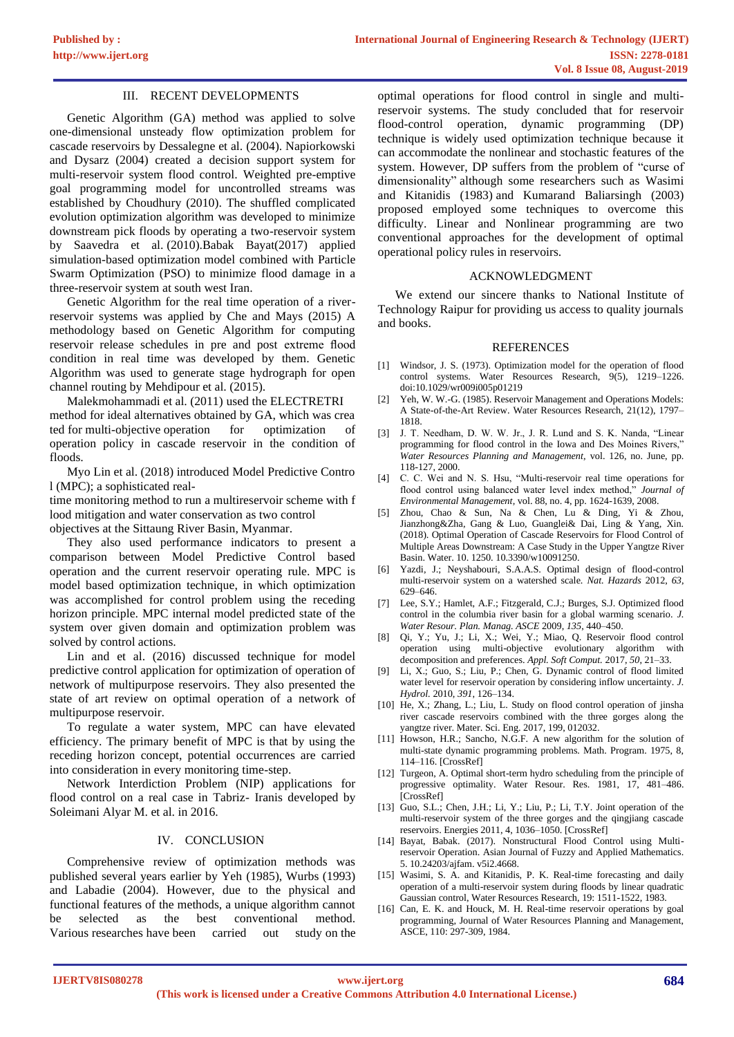## III. RECENT DEVELOPMENTS

Genetic Algorithm (GA) method was applied to solve one-dimensional unsteady flow optimization problem for cascade reservoirs by Dessalegne et al. (2004). Napiorkowski and Dysarz (2004) created a decision support system for multi-reservoir system flood control. Weighted pre-emptive goal programming model for uncontrolled streams was established by Choudhury (2010). The shuffled complicated evolution optimization algorithm was developed to minimize downstream pick floods by operating a two-reservoir system by Saavedra et al. (2010).Babak Bayat(2017) applied simulation-based optimization model combined with Particle Swarm Optimization (PSO) to minimize flood damage in a three-reservoir system at south west Iran.

Genetic Algorithm for the real time operation of a riverreservoir systems was applied by Che and Mays (2015) A methodology based on Genetic Algorithm for computing reservoir release schedules in pre and post extreme flood condition in real time was developed by them. Genetic Algorithm was used to generate stage hydrograph for open channel routing by Mehdipour et al. (2015).

Malekmohammadi et al. (2011) used the ELECTRETRI method for ideal alternatives obtained by GA, which was crea ted for multi-objective operation for optimization of operation policy in cascade reservoir in the condition of floods.

Myo Lin et al. (2018) introduced Model Predictive Contro l (MPC); a sophisticated real-

time monitoring method to run a multireservoir scheme with f lood mitigation and water conservation as two control objectives at the Sittaung River Basin, Myanmar.

They also used performance indicators to present a comparison between Model Predictive Control based operation and the current reservoir operating rule. MPC is model based optimization technique, in which optimization was accomplished for control problem using the receding horizon principle. MPC internal model predicted state of the system over given domain and optimization problem was solved by control actions.

Lin and et al. (2016) discussed technique for model predictive control application for optimization of operation of network of multipurpose reservoirs. They also presented the state of art review on optimal operation of a network of multipurpose reservoir.

To regulate a water system, MPC can have elevated efficiency. The primary benefit of MPC is that by using the receding horizon concept, potential occurrences are carried into consideration in every monitoring time-step.

Network Interdiction Problem (NIP) applications for flood control on a real case in Tabriz- Iranis developed by Soleimani Alyar M. et al. in 2016.

### IV. CONCLUSION

Comprehensive review of optimization methods was published several years earlier by Yeh (1985), Wurbs (1993) and Labadie (2004). However, due to the physical and functional features of the methods, a unique algorithm cannot be selected as the best conventional method. Various researches have been carried out study on the

optimal operations for flood control in single and multireservoir systems. The study concluded that for reservoir flood-control operation, dynamic programming (DP) technique is widely used optimization technique because it can accommodate the nonlinear and stochastic features of the system. However, DP suffers from the problem of "curse of dimensionality" although some researchers such as [Wasimi](https://www.researchgate.net/publication/251436181_Real-Time_Forecasting_and_Daily_Operation_of_a_Multi-Reservoir_System_During_Floods_by_Linear_Quadratic_Gaussian_Control?el=1_x_8&enrichId=rgreq-2d5b4fe657c36e5557c806d54e13947a-XXX&enrichSource=Y292ZXJQYWdlOzI4MDEzMjAzMztBUzoyNTI5MTg5MDk2MzI1MTJAMTQzNzMxMTk3NTIzNw==)  [and Kitanidis](https://www.researchgate.net/publication/251436181_Real-Time_Forecasting_and_Daily_Operation_of_a_Multi-Reservoir_System_During_Floods_by_Linear_Quadratic_Gaussian_Control?el=1_x_8&enrichId=rgreq-2d5b4fe657c36e5557c806d54e13947a-XXX&enrichSource=Y292ZXJQYWdlOzI4MDEzMjAzMztBUzoyNTI5MTg5MDk2MzI1MTJAMTQzNzMxMTk3NTIzNw==) (1983) and Kumarand Baliarsingh (2003) proposed employed some techniques to overcome this difficulty. Linear and Nonlinear programming are two conventional approaches for the development of optimal operational policy rules in reservoirs.

#### ACKNOWLEDGMENT

We extend our sincere thanks to National Institute of Technology Raipur for providing us access to quality journals and books.

#### **REFERENCES**

- [1] Windsor, J. S. (1973). Optimization model for the operation of flood control systems. Water Resources Research, 9(5), 1219-1226. doi:10.1029/wr009i005p01219
- [2] Yeh, W. W.-G. (1985). Reservoir Management and Operations Models: A State-of-the-Art Review. Water Resources Research, 21(12), 1797– 1818.
- [3] J. T. Needham, D. W. W. Jr., J. R. Lund and S. K. Nanda, "Linear programming for flood control in the Iowa and Des Moines Rivers," *Water Resources Planning and Management,* vol. 126, no. June, pp. 118-127, 2000.
- [4] C. C. Wei and N. S. Hsu, "Multi-reservoir real time operations for flood control using balanced water level index method," *Journal of Environmental Management,* vol. 88, no. 4, pp. 1624-1639, 2008.
- [5] Zhou, Chao & Sun, Na & Chen, Lu & Ding, Yi & Zhou, Jianzhong&Zha, Gang & Luo, Guanglei& Dai, Ling & Yang, Xin. (2018). Optimal Operation of Cascade Reservoirs for Flood Control of Multiple Areas Downstream: A Case Study in the Upper Yangtze River Basin. Water. 10. 1250. 10.3390/w10091250.
- [6] Yazdi, J.; Neyshabouri, S.A.A.S. Optimal design of flood-control multi-reservoir system on a watershed scale. *Nat. Hazards* 2012, *63*, 629–646.
- [7] Lee, S.Y.; Hamlet, A.F.; Fitzgerald, C.J.; Burges, S.J. Optimized flood control in the columbia river basin for a global warming scenario. *J. Water Resour. Plan. Manag. ASCE* 2009, *135*, 440–450.
- [8] Qi, Y.; Yu, J.; Li, X.; Wei, Y.; Miao, Q. Reservoir flood control operation using multi-objective evolutionary algorithm with decomposition and preferences. *Appl. Soft Comput.* 2017, *50*, 21–33.
- [9] Li, X.; Guo, S.; Liu, P.; Chen, G. Dynamic control of flood limited water level for reservoir operation by considering inflow uncertainty. *J. Hydrol.* 2010, *391*, 126–134.
- [10] He, X.; Zhang, L.; Liu, L. Study on flood control operation of jinsha river cascade reservoirs combined with the three gorges along the yangtze river. Mater. Sci. Eng. 2017, 199, 012032.
- [11] Howson, H.R.; Sancho, N.G.F. A new algorithm for the solution of multi-state dynamic programming problems. Math. Program. 1975, 8, 114–116. [CrossRef]
- [12] Turgeon, A. Optimal short-term hydro scheduling from the principle of progressive optimality. Water Resour. Res. 1981, 17, 481–486. [CrossRef]
- [13] Guo, S.L.; Chen, J.H.; Li, Y.; Liu, P.; Li, T.Y. Joint operation of the multi-reservoir system of the three gorges and the qingjiang cascade reservoirs. Energies 2011, 4, 1036–1050. [CrossRef]
- [14] Bayat, Babak. (2017). Nonstructural Flood Control using Multireservoir Operation. Asian Journal of Fuzzy and Applied Mathematics. 5. 10.24203/ajfam. v5i2.4668.
- [15] Wasimi, S. A. and Kitanidis, P. K. Real-time forecasting and daily operation of a multi-reservoir system during floods by linear quadratic Gaussian control, Water Resources Research, 19: 1511-1522, 1983.
- [16] Can, E. K. and Houck, M. H. Real-time reservoir operations by goal programming, Journal of Water Resources Planning and Management, ASCE, 110: 297-309, 1984.